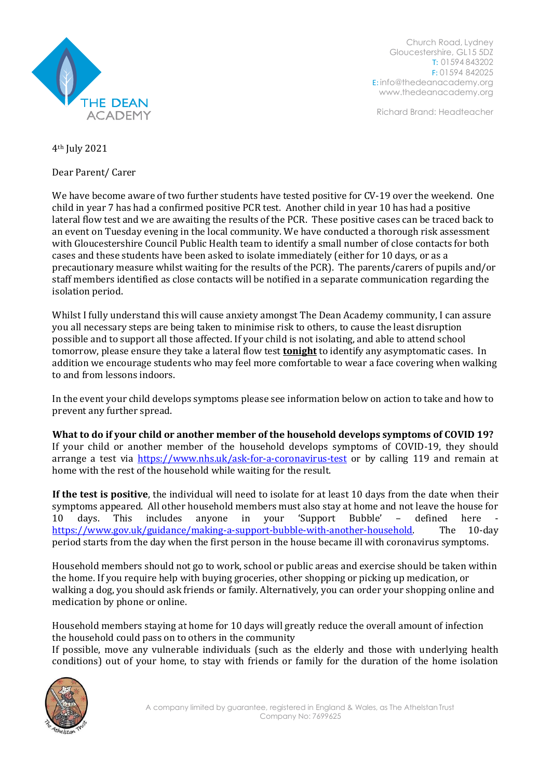

Church Road, Lydney Gloucestershire, GL15 5DZ T: 01594 843202 F: 01594 842025 E: [info@thedeanacademy.org](mailto:info@thedeanacademy.org) [www.thedeanacademy.org](http://www.thedeanacademy.org/)

Richard Brand: Headteacher

4th July 2021

Dear Parent/ Carer

We have become aware of two further students have tested positive for CV-19 over the weekend. One child in year 7 has had a confirmed positive PCR test. Another child in year 10 has had a positive lateral flow test and we are awaiting the results of the PCR. These positive cases can be traced back to an event on Tuesday evening in the local community. We have conducted a thorough risk assessment with Gloucestershire Council Public Health team to identify a small number of close contacts for both cases and these students have been asked to isolate immediately (either for 10 days, or as a precautionary measure whilst waiting for the results of the PCR). The parents/carers of pupils and/or staff members identified as close contacts will be notified in a separate communication regarding the isolation period.

Whilst I fully understand this will cause anxiety amongst The Dean Academy community, I can assure you all necessary steps are being taken to minimise risk to others, to cause the least disruption possible and to support all those affected. If your child is not isolating, and able to attend school tomorrow, please ensure they take a lateral flow test **tonight** to identify any asymptomatic cases. In addition we encourage students who may feel more comfortable to wear a face covering when walking to and from lessons indoors.

In the event your child develops symptoms please see information below on action to take and how to prevent any further spread.

**What to do if your child or another member of the household develops symptoms of COVID 19?** If your child or another member of the household develops symptoms of COVID-19, they should arrange a test via <https://www.nhs.uk/ask-for-a-coronavirus-test> or by calling 119 and remain at home with the rest of the household while waiting for the result.

**If the test is positive**, the individual will need to isolate for at least 10 days from the date when their symptoms appeared. All other household members must also stay at home and not leave the house for 10 days. This includes anyone in your 'Support Bubble' - defined here [https://www.gov.uk/guidance/making-a-support-bubble-with-another-household.](https://www.gov.uk/guidance/making-a-support-bubble-with-another-household) The 10-day period starts from the day when the first person in the house became ill with coronavirus symptoms.

Household members should not go to work, school or public areas and exercise should be taken within the home. If you require help with buying groceries, other shopping or picking up medication, or walking a dog, you should ask friends or family. Alternatively, you can order your shopping online and medication by phone or online.

Household members staying at home for 10 days will greatly reduce the overall amount of infection the household could pass on to others in the community

If possible, move any vulnerable individuals (such as the elderly and those with underlying health conditions) out of your home, to stay with friends or family for the duration of the home isolation